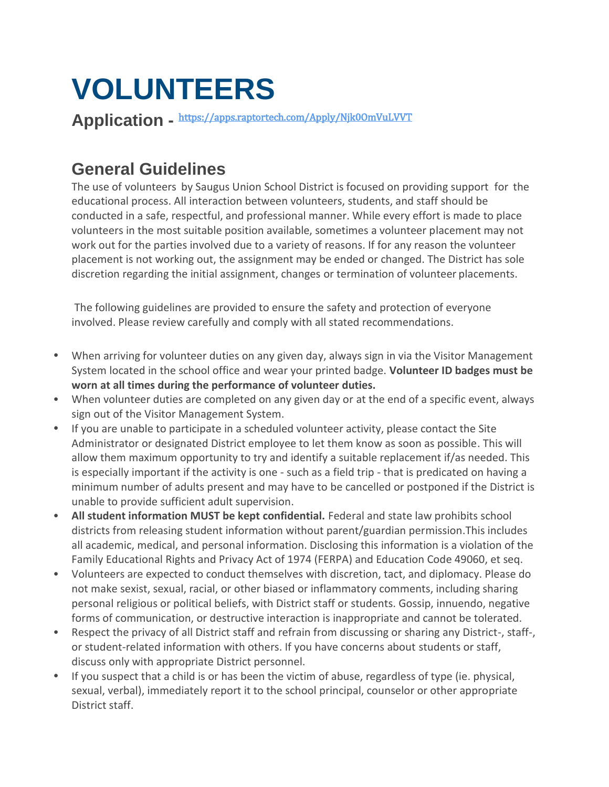# **VOLUNTEERS**

**Application -** <https://apps.raptortech.com/Apply/Njk0OmVuLVVT>

### **General Guidelines**

The use of volunteers by Saugus Union School District is focused on providing support for the educational process. All interaction between volunteers, students, and staff should be conducted in a safe, respectful, and professional manner. While every effort is made to place volunteers in the most suitable position available, sometimes a volunteer placement may not work out for the parties involved due to a variety of reasons. If for any reason the volunteer placement is not working out, the assignment may be ended or changed. The District has sole discretion regarding the initial assignment, changes or termination of volunteer placements.

The following guidelines are provided to ensure the safety and protection of everyone involved. Please review carefully and comply with all stated recommendations.

- When arriving for volunteer duties on any given day, always sign in via the Visitor Management System located in the school office and wear your printed badge. **Volunteer ID badges must be worn at all times during the performance of volunteer duties.**
- When volunteer duties are completed on any given day or at the end of a specific event, always sign out of the Visitor Management System.
- If you are unable to participate in a scheduled volunteer activity, please contact the Site Administrator or designated District employee to let them know as soon as possible. This will allow them maximum opportunity to try and identify a suitable replacement if/as needed. This is especially important if the activity is one - such as a field trip - that is predicated on having a minimum number of adults present and may have to be cancelled or postponed if the District is unable to provide sufficient adult supervision.
- **All student information MUST be kept confidential.** Federal and state law prohibits school districts from releasing student information without parent/guardian permission.This includes all academic, medical, and personal information. Disclosing this information is a violation of the Family Educational Rights and Privacy Act of 1974 (FERPA) and Education Code 49060, et seq.
- Volunteers are expected to conduct themselves with discretion, tact, and diplomacy. Please do not make sexist, sexual, racial, or other biased or inflammatory comments, including sharing personal religious or political beliefs, with District staff or students. Gossip, innuendo, negative forms of communication, or destructive interaction is inappropriate and cannot be tolerated.
- Respect the privacy of all District staff and refrain from discussing or sharing any District-, staff-, or student-related information with others. If you have concerns about students or staff, discuss only with appropriate District personnel.
- If you suspect that a child is or has been the victim of abuse, regardless of type (ie. physical, sexual, verbal), immediately report it to the school principal, counselor or other appropriate District staff.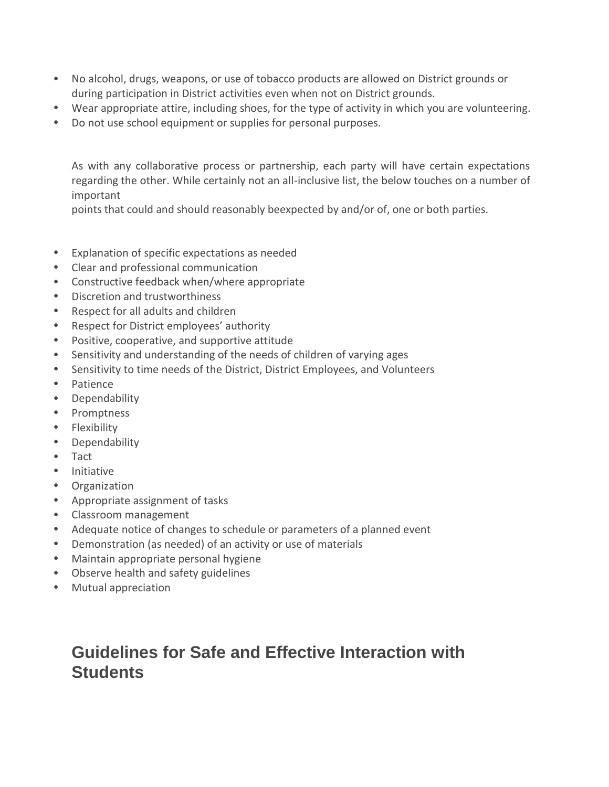- No alcohol, drugs, weapons, or use of tobacco products are allowed on District grounds or during participation in District activities even when not on District grounds.
- Wear appropriate attire, including shoes, for the type of activity in which you are volunteering.
- Do not use school equipment or supplies for personal purposes.

As with any collaborative process or partnership, each party will have certain expectations regarding the other. While certainly not an all-inclusive list, the below touches on a number of important

points that could and should reasonably beexpected by and/or of, one or both parties.

- Explanation of specific expectations as needed
- Clear and professional communication
- Constructive feedback when/where appropriate
- Discretion and trustworthiness
- Respect for all adults and children
- Respect for District employees' authority
- Positive, cooperative, and supportive attitude
- Sensitivity and understanding of the needs of children of varying ages
- Sensitivity to time needs of the District, District Employees, and Volunteers
- Patience
- Dependability
- Promptness
- Flexibility
- Dependability
- Tact
- Initiative
- Organization
- Appropriate assignment of tasks
- Classroom management
- Adequate notice of changes to schedule or parameters of a planned event
- Demonstration (as needed) of an activity or use of materials
- Maintain appropriate personal hygiene
- Observe health and safety guidelines
- Mutual appreciation

### **Guidelines for Safe and Effective Interaction with Students**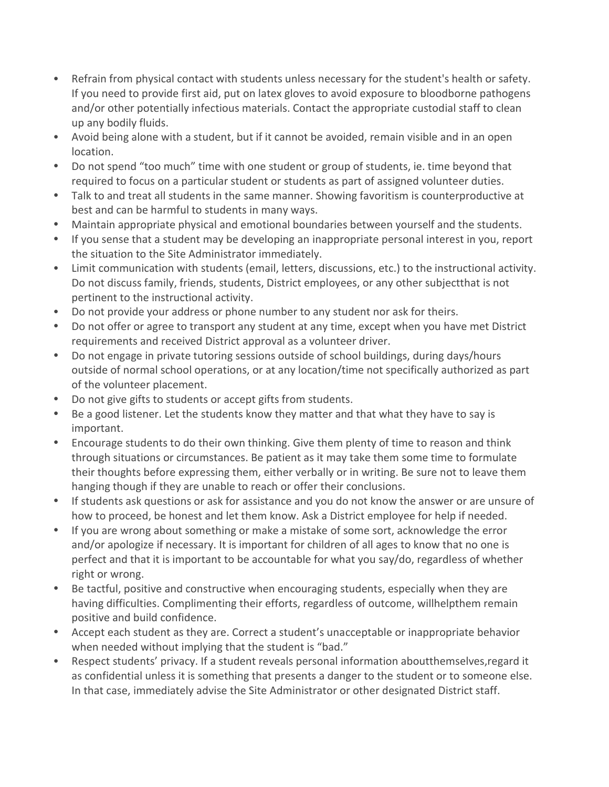- Refrain from physical contact with students unless necessary for the student's health or safety. If you need to provide first aid, put on latex gloves to avoid exposure to bloodborne pathogens and/or other potentially infectious materials. Contact the appropriate custodial staff to clean up any bodily fluids.
- Avoid being alone with a student, but if it cannot be avoided, remain visible and in an open location.
- Do not spend "too much" time with one student or group of students, ie. time beyond that required to focus on a particular student or students as part of assigned volunteer duties.
- Talk to and treat all students in the same manner. Showing favoritism is counterproductive at best and can be harmful to students in many ways.
- Maintain appropriate physical and emotional boundaries between yourself and the students.
- If you sense that a student may be developing an inappropriate personal interest in you, report the situation to the Site Administrator immediately.
- Limit communication with students (email, letters, discussions, etc.) to the instructional activity. Do not discuss family, friends, students, District employees, or any other subjectthat is not pertinent to the instructional activity.
- Do not provide your address or phone number to any student nor ask for theirs.
- Do not offer or agree to transport any student at any time, except when you have met District requirements and received District approval as a volunteer driver.
- Do not engage in private tutoring sessions outside of school buildings, during days/hours outside of normal school operations, or at any location/time not specifically authorized as part of the volunteer placement.
- Do not give gifts to students or accept gifts from students.
- Be a good listener. Let the students know they matter and that what they have to say is important.
- Encourage students to do their own thinking. Give them plenty of time to reason and think through situations or circumstances. Be patient as it may take them some time to formulate their thoughts before expressing them, either verbally or in writing. Be sure not to leave them hanging though if they are unable to reach or offer their conclusions.
- If students ask questions or ask for assistance and you do not know the answer or are unsure of how to proceed, be honest and let them know. Ask a District employee for help if needed.
- If you are wrong about something or make a mistake of some sort, acknowledge the error and/or apologize if necessary. It is important for children of all ages to know that no one is perfect and that it is important to be accountable for what you say/do, regardless of whether right or wrong.
- Be tactful, positive and constructive when encouraging students, especially when they are having difficulties. Complimenting their efforts, regardless of outcome, willhelpthem remain positive and build confidence.
- Accept each student as they are. Correct a student's unacceptable or inappropriate behavior when needed without implying that the student is "bad."
- Respect students' privacy. If a student reveals personal information aboutthemselves,regard it as confidential unless it is something that presents a danger to the student or to someone else. In that case, immediately advise the Site Administrator or other designated District staff.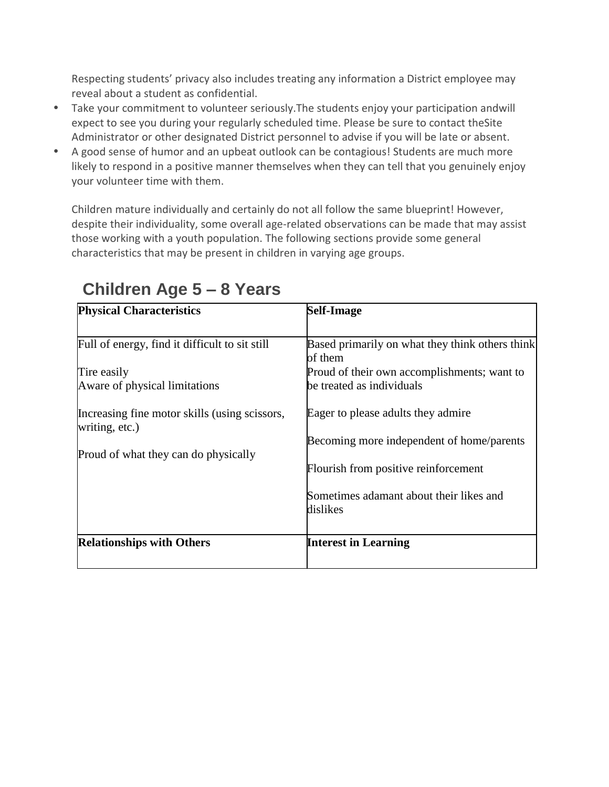Respecting students' privacy also includes treating any information a District employee may reveal about a student as confidential.

- Take your commitment to volunteer seriously.The students enjoy your participation andwill expect to see you during your regularly scheduled time. Please be sure to contact theSite Administrator or other designated District personnel to advise if you will be late or absent.
- A good sense of humor and an upbeat outlook can be contagious! Students are much more likely to respond in a positive manner themselves when they can tell that you genuinely enjoy your volunteer time with them.

Children mature individually and certainly do not all follow the same blueprint! However, despite their individuality, some overall age-related observations can be made that may assist those working with a youth population. The following sections provide some general characteristics that may be present in children in varying age groups.

| <b>Physical Characteristics</b>                                                                                                                                                                           | <b>Self-Image</b>                                                                                                                                                                                                                                                                                                        |
|-----------------------------------------------------------------------------------------------------------------------------------------------------------------------------------------------------------|--------------------------------------------------------------------------------------------------------------------------------------------------------------------------------------------------------------------------------------------------------------------------------------------------------------------------|
| Full of energy, find it difficult to sit still<br>Tire easily<br>Aware of physical limitations<br>Increasing fine motor skills (using scissors,<br>writing, etc.)<br>Proud of what they can do physically | Based primarily on what they think others think<br>of them<br>Proud of their own accomplishments; want to<br>be treated as individuals<br>Eager to please adults they admire<br>Becoming more independent of home/parents<br>Flourish from positive reinforcement<br>Sometimes adamant about their likes and<br>dislikes |
| <b>Relationships with Others</b>                                                                                                                                                                          | <b>Interest in Learning</b>                                                                                                                                                                                                                                                                                              |

## **Children Age 5 – 8 Years**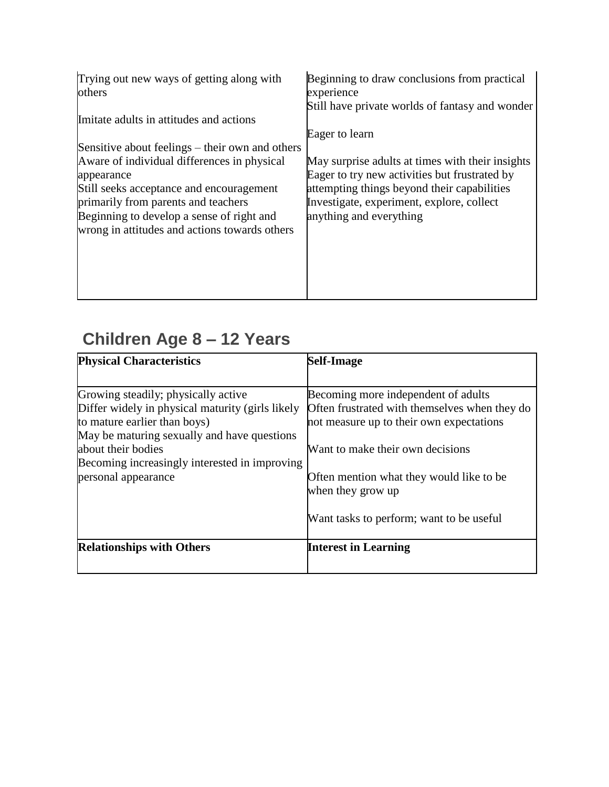| Trying out new ways of getting along with       | Beginning to draw conclusions from practical     |
|-------------------------------------------------|--------------------------------------------------|
| others                                          | experience                                       |
|                                                 | Still have private worlds of fantasy and wonder  |
| Imitate adults in attitudes and actions         |                                                  |
|                                                 | Eager to learn                                   |
| Sensitive about feelings – their own and others |                                                  |
| Aware of individual differences in physical     | May surprise adults at times with their insights |
| appearance                                      | Eager to try new activities but frustrated by    |
| Still seeks acceptance and encouragement        | attempting things beyond their capabilities      |
| primarily from parents and teachers             | Investigate, experiment, explore, collect        |
| Beginning to develop a sense of right and       | anything and everything                          |
| wrong in attitudes and actions towards others   |                                                  |
|                                                 |                                                  |
|                                                 |                                                  |
|                                                 |                                                  |
|                                                 |                                                  |
|                                                 |                                                  |

## **Children Age 8 – 12 Years**

| Becoming more independent of adults<br>Often frustrated with themselves when they do<br>not measure up to their own expectations |
|----------------------------------------------------------------------------------------------------------------------------------|
|                                                                                                                                  |
|                                                                                                                                  |
| Want to make their own decisions                                                                                                 |
| Often mention what they would like to be<br>when they grow up                                                                    |
| Want tasks to perform; want to be useful                                                                                         |
| <b>Interest in Learning</b>                                                                                                      |
|                                                                                                                                  |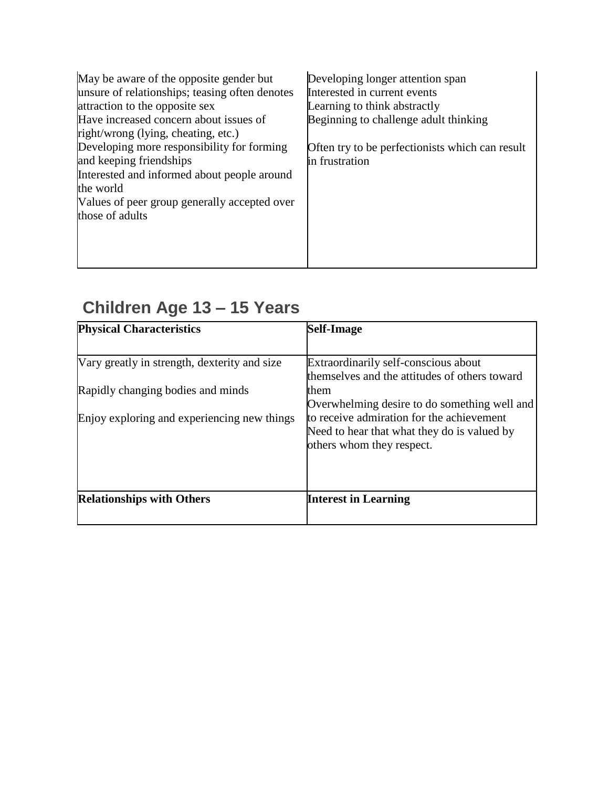| May be aware of the opposite gender but<br>unsure of relationships; teasing often denotes | Developing longer attention span<br>Interested in current events |
|-------------------------------------------------------------------------------------------|------------------------------------------------------------------|
| attraction to the opposite sex                                                            | Learning to think abstractly                                     |
| Have increased concern about issues of<br>right/wrong (lying, cheating, etc.)             | Beginning to challenge adult thinking                            |
| Developing more responsibility for forming                                                | Often try to be perfectionists which can result                  |
| and keeping friendships                                                                   | in frustration                                                   |
| Interested and informed about people around                                               |                                                                  |
| the world                                                                                 |                                                                  |
| Values of peer group generally accepted over                                              |                                                                  |
| those of adults                                                                           |                                                                  |
|                                                                                           |                                                                  |
|                                                                                           |                                                                  |
|                                                                                           |                                                                  |
|                                                                                           |                                                                  |

# **Children Age 13 – 15 Years**

| <b>Self-Image</b>                             |
|-----------------------------------------------|
|                                               |
| Extraordinarily self-conscious about          |
| themselves and the attitudes of others toward |
| them                                          |
| Overwhelming desire to do something well and  |
| to receive admiration for the achievement     |
| Need to hear that what they do is valued by   |
| others whom they respect.                     |
|                                               |
|                                               |
|                                               |
| <b>Interest in Learning</b>                   |
|                                               |
|                                               |